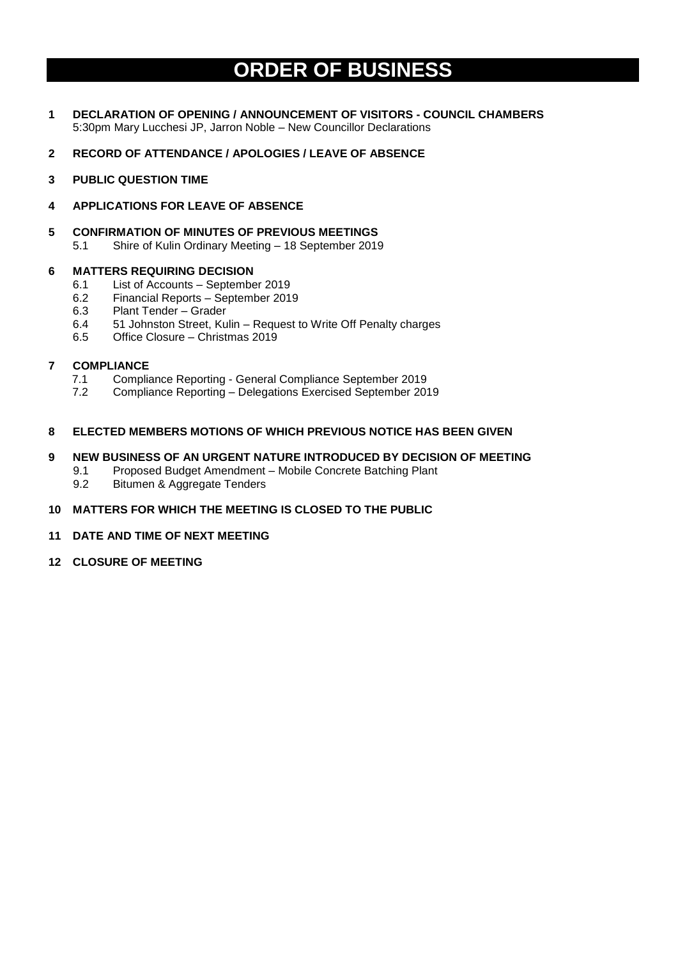# **ORDER OF BUSINESS**

- **1 DECLARATION OF OPENING / ANNOUNCEMENT OF VISITORS - COUNCIL CHAMBERS** 5:30pm Mary Lucchesi JP, Jarron Noble – New Councillor Declarations
- **2 RECORD OF ATTENDANCE / APOLOGIES / LEAVE OF ABSENCE**
- **3 PUBLIC QUESTION TIME**
- **4 APPLICATIONS FOR LEAVE OF ABSENCE**
- **5 CONFIRMATION OF MINUTES OF PREVIOUS MEETINGS** 
	- 5.1 Shire of Kulin Ordinary Meeting 18 September 2019

### **6 MATTERS REQUIRING DECISION**

- 6.1 List of Accounts September 2019
- 6.2 Financial Reports September 2019
- 6.3 Plant Tender Grader
- 6.4 51 Johnston Street, Kulin Request to Write Off Penalty charges
- 6.5 Office Closure Christmas 2019

### **7 COMPLIANCE**

- 7.1 Compliance Reporting General Compliance September 2019
- 7.2 Compliance Reporting Delegations Exercised September 2019

### **8 ELECTED MEMBERS MOTIONS OF WHICH PREVIOUS NOTICE HAS BEEN GIVEN**

### **9 NEW BUSINESS OF AN URGENT NATURE INTRODUCED BY DECISION OF MEETING**

- 9.1 Proposed Budget Amendment Mobile Concrete Batching Plant
	- 9.2 Bitumen & Aggregate Tenders

### **10 MATTERS FOR WHICH THE MEETING IS CLOSED TO THE PUBLIC**

- **11 DATE AND TIME OF NEXT MEETING**
- **12 CLOSURE OF MEETING**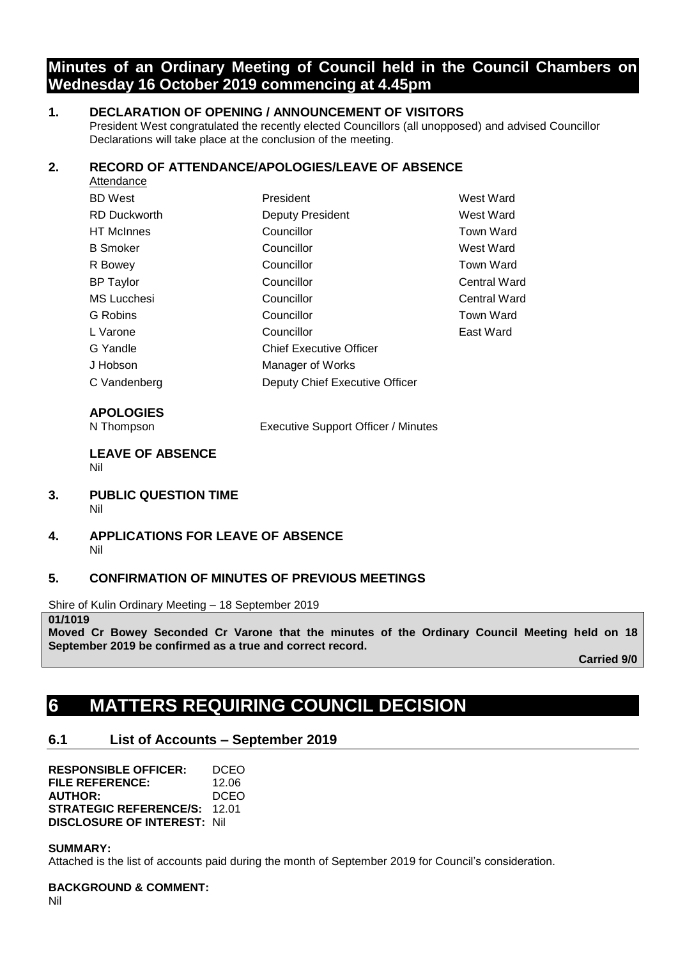# **Minutes of an Ordinary Meeting of Council held in the Council Chambers on Wednesday 16 October 2019 commencing at 4.45pm**

## **1. DECLARATION OF OPENING / ANNOUNCEMENT OF VISITORS**

President West congratulated the recently elected Councillors (all unopposed) and advised Councillor Declarations will take place at the conclusion of the meeting.

## **2. RECORD OF ATTENDANCE/APOLOGIES/LEAVE OF ABSENCE**

| Attendance          |                                |                     |  |
|---------------------|--------------------------------|---------------------|--|
| <b>BD</b> West      | President                      | West Ward           |  |
| <b>RD Duckworth</b> | <b>Deputy President</b>        | West Ward           |  |
| <b>HT</b> McInnes   | Councillor                     | <b>Town Ward</b>    |  |
| <b>B</b> Smoker     | Councillor                     | West Ward           |  |
| R Bowey             | Councillor                     | Town Ward           |  |
| <b>BP</b> Taylor    | Councillor                     | <b>Central Ward</b> |  |
| <b>MS Lucchesi</b>  | Councillor                     | <b>Central Ward</b> |  |
| G Robins            | Councillor                     | Town Ward           |  |
| L Varone            | Councillor                     | East Ward           |  |
| G Yandle            | <b>Chief Executive Officer</b> |                     |  |
| J Hobson            | Manager of Works               |                     |  |
| C Vandenberg        | Deputy Chief Executive Officer |                     |  |
|                     |                                |                     |  |

## **APOLOGIES**

N Thompson Executive Support Officer / Minutes

### **LEAVE OF ABSENCE**  Nil

- **3. PUBLIC QUESTION TIME** Nil
- **4. APPLICATIONS FOR LEAVE OF ABSENCE** Nil

## **5. CONFIRMATION OF MINUTES OF PREVIOUS MEETINGS**

Shire of Kulin Ordinary Meeting – 18 September 2019

**01/1019**

**Moved Cr Bowey Seconded Cr Varone that the minutes of the Ordinary Council Meeting held on 18 September 2019 be confirmed as a true and correct record.**

**Carried 9/0**

# **6 MATTERS REQUIRING COUNCIL DECISION**

# **6.1 List of Accounts – September 2019**

**RESPONSIBLE OFFICER:** DCEO **FILE REFERENCE:** 12.06 **AUTHOR:** DCEO **STRATEGIC REFERENCE/S:** 12.01 **DISCLOSURE OF INTEREST:** Nil

### **SUMMARY:**

Attached is the list of accounts paid during the month of September 2019 for Council's consideration.

**BACKGROUND & COMMENT:**

Nil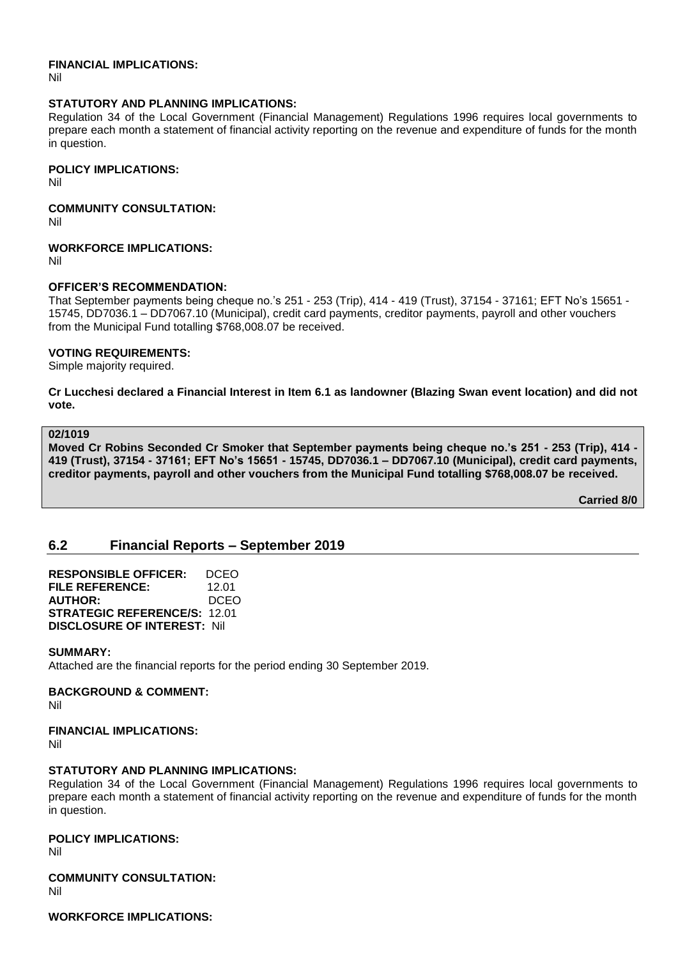### **FINANCIAL IMPLICATIONS:**

Nil

### **STATUTORY AND PLANNING IMPLICATIONS:**

Regulation 34 of the Local Government (Financial Management) Regulations 1996 requires local governments to prepare each month a statement of financial activity reporting on the revenue and expenditure of funds for the month in question.

### **POLICY IMPLICATIONS:**

Nil

## **COMMUNITY CONSULTATION:**

Nil

### **WORKFORCE IMPLICATIONS:**

Nil

### **OFFICER'S RECOMMENDATION:**

That September payments being cheque no.'s 251 - 253 (Trip), 414 - 419 (Trust), 37154 - 37161; EFT No's 15651 - 15745, DD7036.1 – DD7067.10 (Municipal), credit card payments, creditor payments, payroll and other vouchers from the Municipal Fund totalling \$768,008.07 be received.

### **VOTING REQUIREMENTS:**

Simple majority required.

**Cr Lucchesi declared a Financial Interest in Item 6.1 as landowner (Blazing Swan event location) and did not vote.**

### **02/1019**

**Moved Cr Robins Seconded Cr Smoker that September payments being cheque no.'s 251 - 253 (Trip), 414 - 419 (Trust), 37154 - 37161; EFT No's 15651 - 15745, DD7036.1 – DD7067.10 (Municipal), credit card payments, creditor payments, payroll and other vouchers from the Municipal Fund totalling \$768,008.07 be received.**

**Carried 8/0**

# **6.2 Financial Reports – September 2019**

**RESPONSIBLE OFFICER:** DCEO **FILE REFERENCE:** 12.01 **AUTHOR:** DCEO **STRATEGIC REFERENCE/S:** 12.01 **DISCLOSURE OF INTEREST:** Nil

### **SUMMARY:**

Attached are the financial reports for the period ending 30 September 2019.

### **BACKGROUND & COMMENT:**

Nil

### **FINANCIAL IMPLICATIONS:**

Nil

### **STATUTORY AND PLANNING IMPLICATIONS:**

Regulation 34 of the Local Government (Financial Management) Regulations 1996 requires local governments to prepare each month a statement of financial activity reporting on the revenue and expenditure of funds for the month in question.

### **POLICY IMPLICATIONS:**

Nil

# **COMMUNITY CONSULTATION:**

Nil

**WORKFORCE IMPLICATIONS:**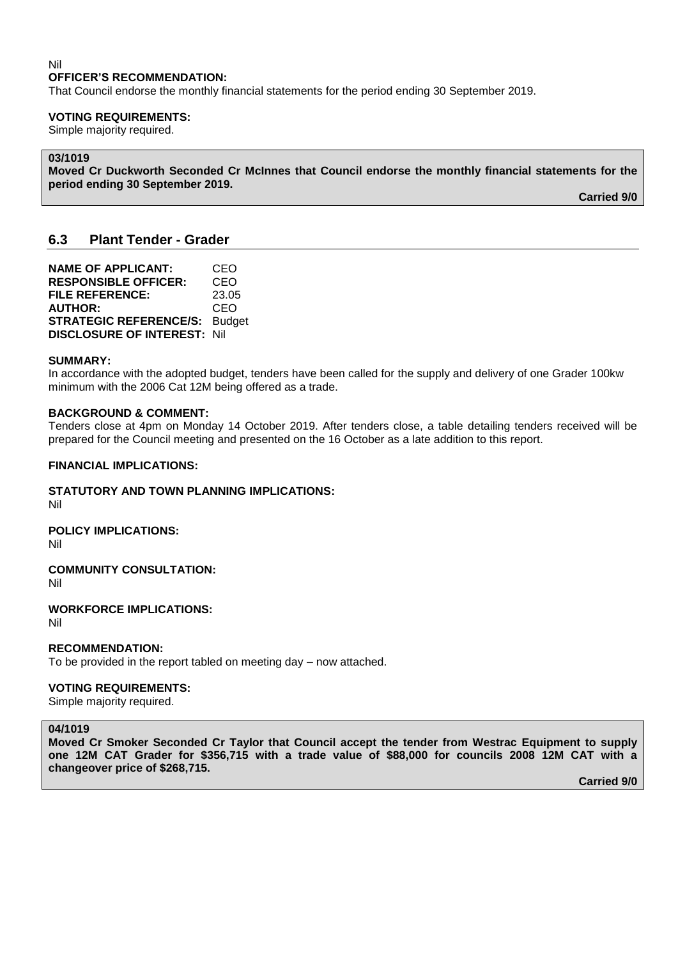### Nil **OFFICER'S RECOMMENDATION:**

That Council endorse the monthly financial statements for the period ending 30 September 2019.

### **VOTING REQUIREMENTS:**

Simple majority required.

### **03/1019**

**Moved Cr Duckworth Seconded Cr McInnes that Council endorse the monthly financial statements for the period ending 30 September 2019.**

**Carried 9/0**

## **6.3 Plant Tender - Grader**

| <b>NAME OF APPLICANT:</b>          | CEO           |
|------------------------------------|---------------|
| <b>RESPONSIBLE OFFICER:</b>        | CEO           |
| <b>FILE REFERENCE:</b>             | 23.05         |
| <b>AUTHOR:</b>                     | CEO           |
| <b>STRATEGIC REFERENCE/S:</b>      | <b>Budget</b> |
| <b>DISCLOSURE OF INTEREST: Nil</b> |               |

### **SUMMARY:**

In accordance with the adopted budget, tenders have been called for the supply and delivery of one Grader 100kw minimum with the 2006 Cat 12M being offered as a trade.

### **BACKGROUND & COMMENT:**

Tenders close at 4pm on Monday 14 October 2019. After tenders close, a table detailing tenders received will be prepared for the Council meeting and presented on the 16 October as a late addition to this report.

### **FINANCIAL IMPLICATIONS:**

**STATUTORY AND TOWN PLANNING IMPLICATIONS:**

Nil

**POLICY IMPLICATIONS:**

Nil

**COMMUNITY CONSULTATION:**

Nil

**WORKFORCE IMPLICATIONS:**

Nil

### **RECOMMENDATION:**

To be provided in the report tabled on meeting day – now attached.

### **VOTING REQUIREMENTS:**

Simple majority required.

### **04/1019**

**Moved Cr Smoker Seconded Cr Taylor that Council accept the tender from Westrac Equipment to supply one 12M CAT Grader for \$356,715 with a trade value of \$88,000 for councils 2008 12M CAT with a changeover price of \$268,715.**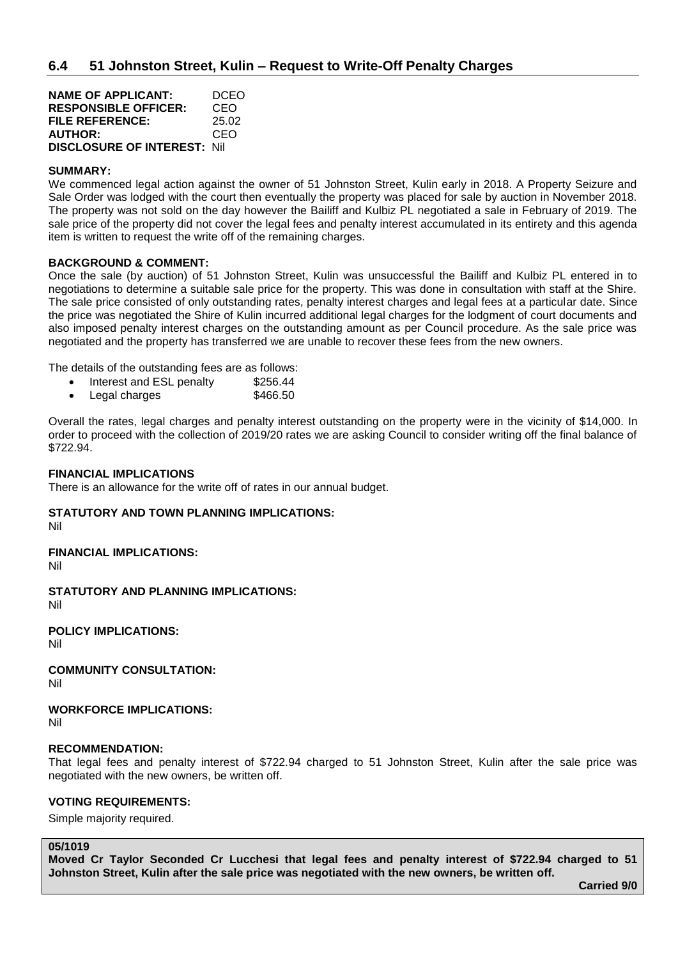| <b>NAME OF APPLICANT:</b>           | DCEO  |
|-------------------------------------|-------|
| <b>RESPONSIBLE OFFICER:</b>         | CEO   |
| <b>FILE REFERENCE:</b>              | 25.02 |
| <b>AUTHOR:</b>                      | CEO   |
| <b>DISCLOSURE OF INTEREST: Nill</b> |       |

### **SUMMARY:**

We commenced legal action against the owner of 51 Johnston Street, Kulin early in 2018. A Property Seizure and Sale Order was lodged with the court then eventually the property was placed for sale by auction in November 2018. The property was not sold on the day however the Bailiff and Kulbiz PL negotiated a sale in February of 2019. The sale price of the property did not cover the legal fees and penalty interest accumulated in its entirety and this agenda item is written to request the write off of the remaining charges.

### **BACKGROUND & COMMENT:**

Once the sale (by auction) of 51 Johnston Street, Kulin was unsuccessful the Bailiff and Kulbiz PL entered in to negotiations to determine a suitable sale price for the property. This was done in consultation with staff at the Shire. The sale price consisted of only outstanding rates, penalty interest charges and legal fees at a particular date. Since the price was negotiated the Shire of Kulin incurred additional legal charges for the lodgment of court documents and also imposed penalty interest charges on the outstanding amount as per Council procedure. As the sale price was negotiated and the property has transferred we are unable to recover these fees from the new owners.

The details of the outstanding fees are as follows:

- Interest and ESL penalty \$256.44
- Legal charges \$466.50

Overall the rates, legal charges and penalty interest outstanding on the property were in the vicinity of \$14,000. In order to proceed with the collection of 2019/20 rates we are asking Council to consider writing off the final balance of \$722.94.

### **FINANCIAL IMPLICATIONS**

There is an allowance for the write off of rates in our annual budget.

# **STATUTORY AND TOWN PLANNING IMPLICATIONS:**

Nil

### **FINANCIAL IMPLICATIONS:**

Nil

**STATUTORY AND PLANNING IMPLICATIONS:**  Nil

**POLICY IMPLICATIONS:**

Nil

**COMMUNITY CONSULTATION:** Nil

**WORKFORCE IMPLICATIONS:** Nil

### **RECOMMENDATION:**

That legal fees and penalty interest of \$722.94 charged to 51 Johnston Street, Kulin after the sale price was negotiated with the new owners, be written off.

### **VOTING REQUIREMENTS:**

Simple majority required.

### **05/1019**

**Moved Cr Taylor Seconded Cr Lucchesi that legal fees and penalty interest of \$722.94 charged to 51 Johnston Street, Kulin after the sale price was negotiated with the new owners, be written off.**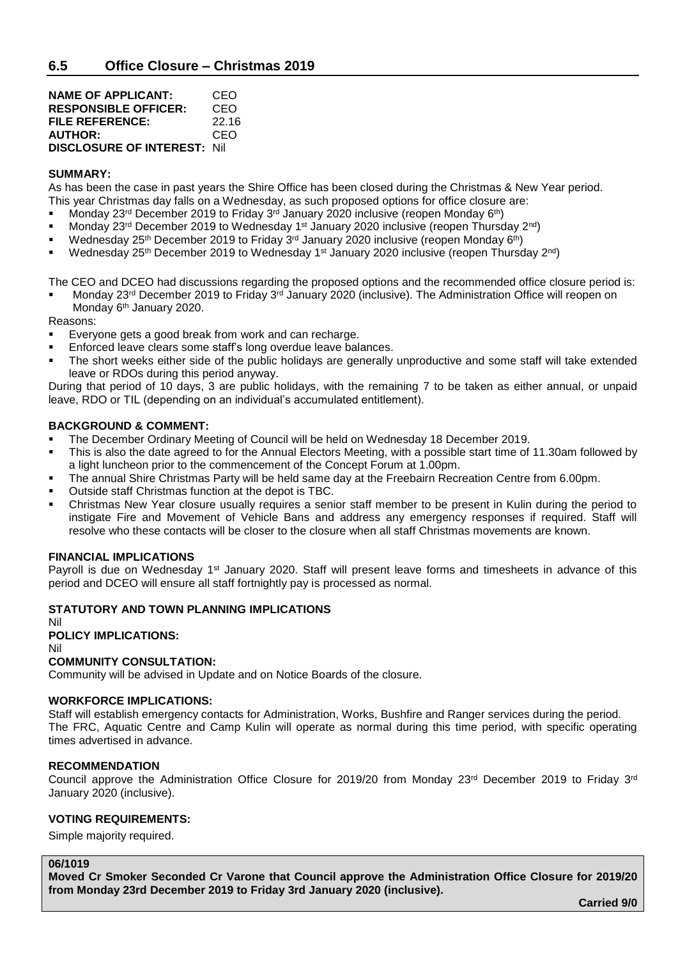| <b>NAME OF APPLICANT:</b>           | CEO   |
|-------------------------------------|-------|
| <b>RESPONSIBLE OFFICER:</b>         | CEO   |
| FILE REFERENCE:                     | 22.16 |
| <b>AUTHOR:</b>                      | CEO   |
| <b>DISCLOSURE OF INTEREST: Nill</b> |       |

### **SUMMARY:**

As has been the case in past years the Shire Office has been closed during the Christmas & New Year period. This year Christmas day falls on a Wednesday, as such proposed options for office closure are:

- Monday 23<sup>rd</sup> December 2019 to Friday 3<sup>rd</sup> January 2020 inclusive (reopen Monday 6<sup>th</sup>)
- Monday 23<sup>rd</sup> December 2019 to Wednesday 1<sup>st</sup> January 2020 inclusive (reopen Thursday 2<sup>nd</sup>)
- Wednesday 25<sup>th</sup> December 2019 to Friday 3<sup>rd</sup> January 2020 inclusive (reopen Monday 6<sup>th</sup>)
- Wednesday 25<sup>th</sup> December 2019 to Wednesday 1<sup>st</sup> January 2020 inclusive (reopen Thursday 2<sup>nd</sup>)

The CEO and DCEO had discussions regarding the proposed options and the recommended office closure period is:

Monday 23<sup>rd</sup> December 2019 to Friday 3<sup>rd</sup> January 2020 (inclusive). The Administration Office will reopen on Monday 6<sup>th</sup> January 2020.

Reasons:

- Everyone gets a good break from work and can recharge.
- Enforced leave clears some staff's long overdue leave balances.
- The short weeks either side of the public holidays are generally unproductive and some staff will take extended leave or RDOs during this period anyway.

During that period of 10 days, 3 are public holidays, with the remaining 7 to be taken as either annual, or unpaid leave, RDO or TIL (depending on an individual's accumulated entitlement).

### **BACKGROUND & COMMENT:**

- The December Ordinary Meeting of Council will be held on Wednesday 18 December 2019.
- This is also the date agreed to for the Annual Electors Meeting, with a possible start time of 11.30am followed by a light luncheon prior to the commencement of the Concept Forum at 1.00pm.
- The annual Shire Christmas Party will be held same day at the Freebairn Recreation Centre from 6.00pm.
- Outside staff Christmas function at the depot is TBC.
- Christmas New Year closure usually requires a senior staff member to be present in Kulin during the period to instigate Fire and Movement of Vehicle Bans and address any emergency responses if required. Staff will resolve who these contacts will be closer to the closure when all staff Christmas movements are known.

### **FINANCIAL IMPLICATIONS**

Payroll is due on Wednesday 1<sup>st</sup> January 2020. Staff will present leave forms and timesheets in advance of this period and DCEO will ensure all staff fortnightly pay is processed as normal.

## **STATUTORY AND TOWN PLANNING IMPLICATIONS**

#### Nil **POLICY IMPLICATIONS:**

Nil

### **COMMUNITY CONSULTATION:**

Community will be advised in Update and on Notice Boards of the closure.

### **WORKFORCE IMPLICATIONS:**

Staff will establish emergency contacts for Administration, Works, Bushfire and Ranger services during the period. The FRC, Aquatic Centre and Camp Kulin will operate as normal during this time period, with specific operating times advertised in advance.

### **RECOMMENDATION**

Council approve the Administration Office Closure for 2019/20 from Monday 23<sup>rd</sup> December 2019 to Friday 3<sup>rd</sup> January 2020 (inclusive).

### **VOTING REQUIREMENTS:**

Simple majority required.

### **06/1019**

**Moved Cr Smoker Seconded Cr Varone that Council approve the Administration Office Closure for 2019/20 from Monday 23rd December 2019 to Friday 3rd January 2020 (inclusive).**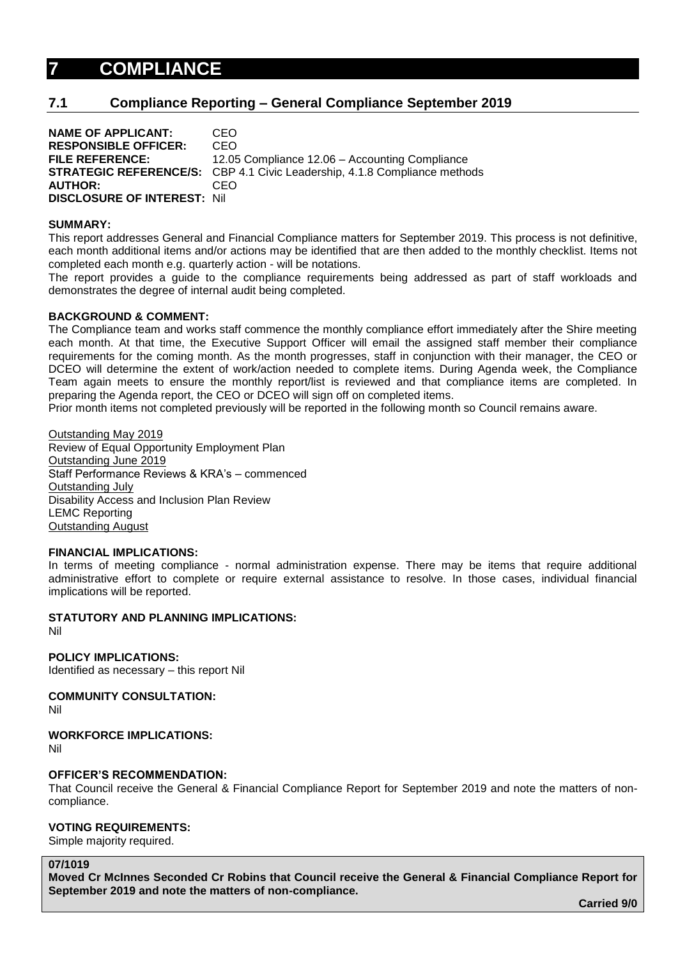# **7 COMPLIANCE**

## **7.1 Compliance Reporting – General Compliance September 2019**

**NAME OF APPLICANT:** CEO **RESPONSIBLE OFFICER:** CEO **FILE REFERENCE:** 12.05 Compliance 12.06 – Accounting Compliance **STRATEGIC REFERENCE/S:** CBP 4.1 Civic Leadership, 4.1.8 Compliance methods **AUTHOR:** CEO **DISCLOSURE OF INTEREST:** Nil

### **SUMMARY:**

This report addresses General and Financial Compliance matters for September 2019. This process is not definitive, each month additional items and/or actions may be identified that are then added to the monthly checklist. Items not completed each month e.g. quarterly action - will be notations.

The report provides a guide to the compliance requirements being addressed as part of staff workloads and demonstrates the degree of internal audit being completed.

### **BACKGROUND & COMMENT:**

The Compliance team and works staff commence the monthly compliance effort immediately after the Shire meeting each month. At that time, the Executive Support Officer will email the assigned staff member their compliance requirements for the coming month. As the month progresses, staff in conjunction with their manager, the CEO or DCEO will determine the extent of work/action needed to complete items. During Agenda week, the Compliance Team again meets to ensure the monthly report/list is reviewed and that compliance items are completed. In preparing the Agenda report, the CEO or DCEO will sign off on completed items.

Prior month items not completed previously will be reported in the following month so Council remains aware.

Outstanding May 2019 Review of Equal Opportunity Employment Plan Outstanding June 2019 Staff Performance Reviews & KRA's – commenced Outstanding July Disability Access and Inclusion Plan Review LEMC Reporting Outstanding August

### **FINANCIAL IMPLICATIONS:**

In terms of meeting compliance - normal administration expense. There may be items that require additional administrative effort to complete or require external assistance to resolve. In those cases, individual financial implications will be reported.

### **STATUTORY AND PLANNING IMPLICATIONS:**

Nil

**POLICY IMPLICATIONS:**

Identified as necessary – this report Nil

**COMMUNITY CONSULTATION:**

Nil

### **WORKFORCE IMPLICATIONS:**

Nil

## **OFFICER'S RECOMMENDATION:**

That Council receive the General & Financial Compliance Report for September 2019 and note the matters of noncompliance.

## **VOTING REQUIREMENTS:**

Simple majority required.

### **07/1019**

**Moved Cr McInnes Seconded Cr Robins that Council receive the General & Financial Compliance Report for September 2019 and note the matters of non-compliance.**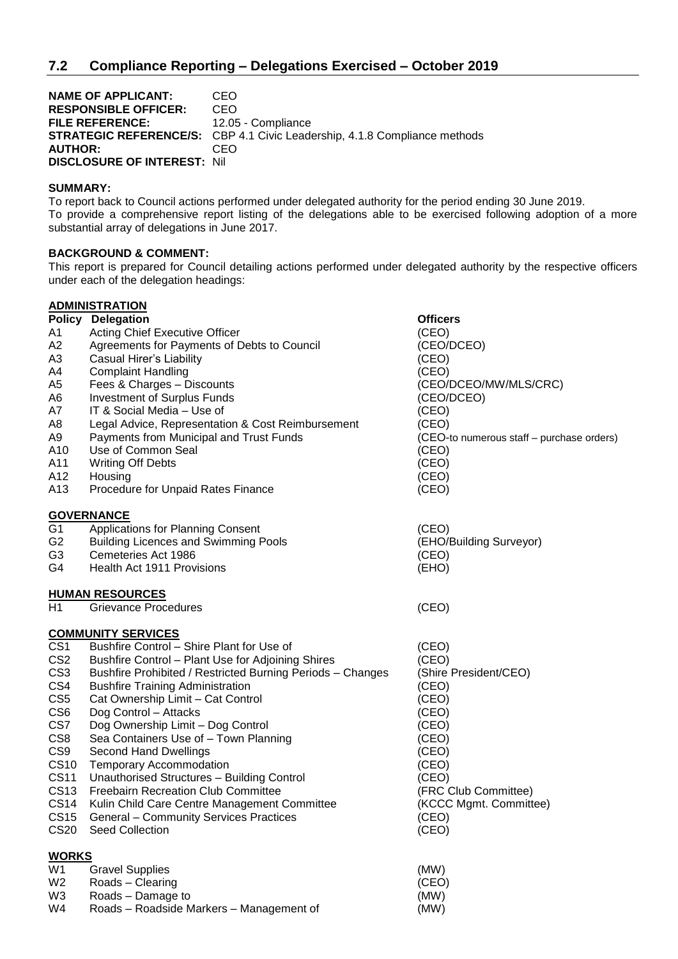**NAME OF APPLICANT: CEO<br>RESPONSIBLE OFFICER: CEO RESPONSIBLE OFFICER:** FILE REFERENCE: 12.05 - Compliance **STRATEGIC REFERENCE/S:** CBP 4.1 Civic Leadership, 4.1.8 Compliance methods **AUTHOR:** CEO **DISCLOSURE OF INTEREST:** Nil

### **SUMMARY:**

To report back to Council actions performed under delegated authority for the period ending 30 June 2019. To provide a comprehensive report listing of the delegations able to be exercised following adoption of a more substantial array of delegations in June 2017.

### **BACKGROUND & COMMENT:**

This report is prepared for Council detailing actions performed under delegated authority by the respective officers under each of the delegation headings:

|                 | <b>ADMINISTRATION</b>                                      |                                           |
|-----------------|------------------------------------------------------------|-------------------------------------------|
|                 | <b>Policy Delegation</b>                                   | <b>Officers</b>                           |
| Α1              | Acting Chief Executive Officer                             | (CEO)                                     |
| А2              | Agreements for Payments of Debts to Council                | (CEO/DCEO)                                |
| ΑЗ              | Casual Hirer's Liability                                   | (CEO)                                     |
| A4              | <b>Complaint Handling</b>                                  | (CEO)                                     |
| A5              | Fees & Charges - Discounts                                 | (CEO/DCEO/MW/MLS/CRC)                     |
| A6              | <b>Investment of Surplus Funds</b>                         | (CEO/DCEO)                                |
| Α7              | IT & Social Media - Use of                                 | (CEO)                                     |
| A8              | Legal Advice, Representation & Cost Reimbursement          | (CEO)                                     |
| А9              | Payments from Municipal and Trust Funds                    | (CEO-to numerous staff - purchase orders) |
| A10             | Use of Common Seal                                         | (CEO)                                     |
| A11             | <b>Writing Off Debts</b>                                   | (CEO)                                     |
| A12             | Housing                                                    | (CEO)                                     |
| A13             | Procedure for Unpaid Rates Finance                         | (CEO)                                     |
|                 | <u>GOVERNANCE</u>                                          |                                           |
| G1              | <b>Applications for Planning Consent</b>                   | (CEO)                                     |
| G2              | <b>Building Licences and Swimming Pools</b>                | (EHO/Building Surveyor)                   |
| G3              | Cemeteries Act 1986                                        | (CEO)                                     |
| G4              | Health Act 1911 Provisions                                 | (EHO)                                     |
|                 | <u>HUMAN RESOURCES</u>                                     |                                           |
| Η1              | <b>Grievance Procedures</b>                                | (CEO)                                     |
|                 | <u>COMMUNITY SERVICES</u>                                  |                                           |
| CS1             | Bushfire Control - Shire Plant for Use of                  | (CEO)                                     |
| CS <sub>2</sub> | Bushfire Control - Plant Use for Adjoining Shires          | (CEO)                                     |
| CS3             | Bushfire Prohibited / Restricted Burning Periods - Changes | (Shire President/CEO)                     |
| CS4             | <b>Bushfire Training Administration</b>                    | (CEO)                                     |
| CS5             | Cat Ownership Limit - Cat Control                          | (CEO)                                     |
| CS6             | Dog Control - Attacks                                      | (CEO)                                     |
| CS7             | Dog Ownership Limit - Dog Control                          | (CEO)                                     |
| CS8             | Sea Containers Use of - Town Planning                      | (CEO)                                     |
| CS9             | <b>Second Hand Dwellings</b>                               | (CEO)                                     |
| CS10            | <b>Temporary Accommodation</b>                             | (CEO)                                     |
| CS11            | Unauthorised Structures - Building Control                 | (CEO)                                     |
| CS13            | <b>Freebairn Recreation Club Committee</b>                 | (FRC Club Committee)                      |
| CS14            | Kulin Child Care Centre Management Committee               | (KCCC Mgmt. Committee)                    |
| CS15            | <b>General - Community Services Practices</b>              | (CEO)                                     |
| CS20            | Seed Collection                                            | (CEO)                                     |
| WORKS           |                                                            |                                           |
| W1              | <b>Gravel Supplies</b>                                     | (MW)                                      |
| W2              | Roads - Clearing                                           | (CEO)                                     |
| W3              | Roads - Damage to                                          | (MW)                                      |
| W4              | Roads - Roadside Markers - Management of                   | (MW)                                      |
|                 |                                                            |                                           |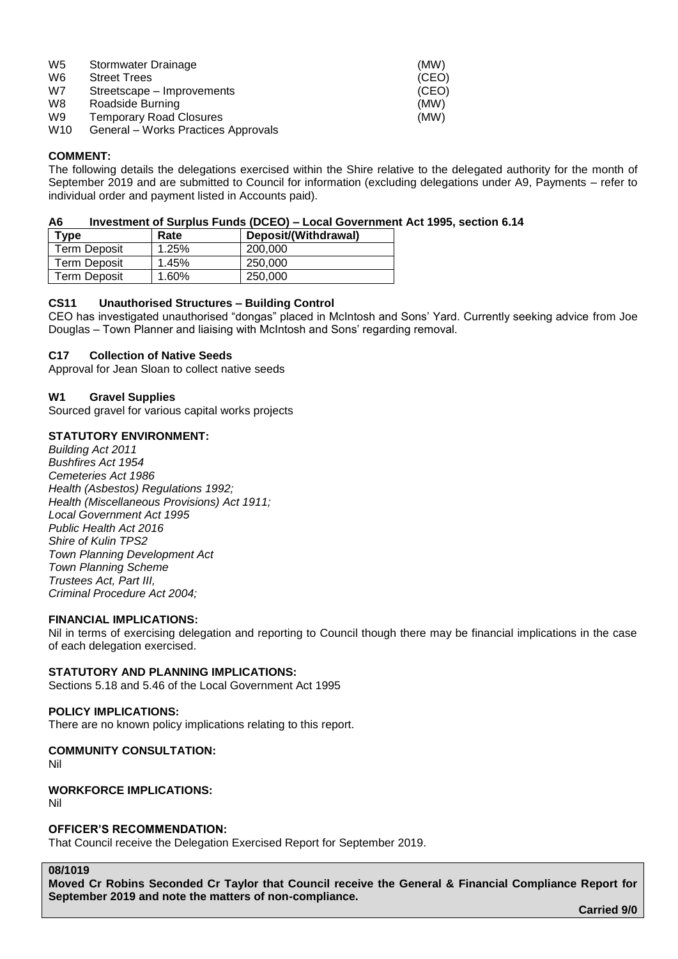| W <sub>5</sub>  | Stormwater Drainage                 | (MW)  |
|-----------------|-------------------------------------|-------|
| W6              | <b>Street Trees</b>                 | (CEO) |
| W7              | Streetscape – Improvements          | (CEO) |
| W8              | Roadside Burning                    | (MW)  |
| W9              | <b>Temporary Road Closures</b>      | (MW)  |
| W <sub>10</sub> | General - Works Practices Approvals |       |

### **COMMENT:**

The following details the delegations exercised within the Shire relative to the delegated authority for the month of September 2019 and are submitted to Council for information (excluding delegations under A9, Payments – refer to individual order and payment listed in Accounts paid).

### **A6 Investment of Surplus Funds (DCEO) – Local Government Act 1995, section 6.14**

| Type                | Rate  | Deposit/(Withdrawal) |
|---------------------|-------|----------------------|
| <b>Term Deposit</b> | 1.25% | 200.000              |
| Term Deposit        | 1.45% | 250,000              |
| Term Deposit        | 1.60% | 250,000              |

### **CS11 Unauthorised Structures – Building Control**

CEO has investigated unauthorised "dongas" placed in McIntosh and Sons' Yard. Currently seeking advice from Joe Douglas – Town Planner and liaising with McIntosh and Sons' regarding removal.

### **C17 Collection of Native Seeds**

Approval for Jean Sloan to collect native seeds

### **W1 Gravel Supplies**

Sourced gravel for various capital works projects

### **STATUTORY ENVIRONMENT:**

*Building Act 2011 Bushfires Act 1954 Cemeteries Act 1986 Health (Asbestos) Regulations 1992; Health (Miscellaneous Provisions) Act 1911; Local Government Act 1995 Public Health Act 2016 Shire of Kulin TPS2 Town Planning Development Act Town Planning Scheme Trustees Act, Part III, Criminal Procedure Act 2004;*

### **FINANCIAL IMPLICATIONS:**

Nil in terms of exercising delegation and reporting to Council though there may be financial implications in the case of each delegation exercised.

### **STATUTORY AND PLANNING IMPLICATIONS:**

Sections 5.18 and 5.46 of the Local Government Act 1995

### **POLICY IMPLICATIONS:**

There are no known policy implications relating to this report.

# **COMMUNITY CONSULTATION:**

Nil

### **WORKFORCE IMPLICATIONS:**

Nil

### **OFFICER'S RECOMMENDATION:**

That Council receive the Delegation Exercised Report for September 2019.

### **08/1019**

**Moved Cr Robins Seconded Cr Taylor that Council receive the General & Financial Compliance Report for September 2019 and note the matters of non-compliance.**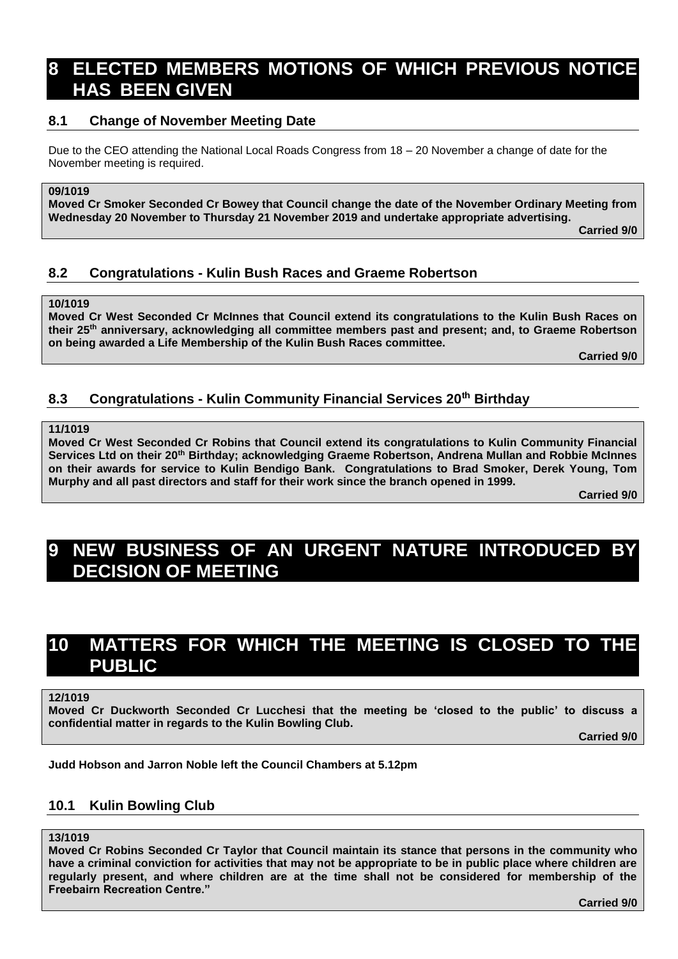# **8 ELECTED MEMBERS MOTIONS OF WHICH PREVIOUS NOTICE HAS BEEN GIVEN**

## **8.1 Change of November Meeting Date**

Due to the CEO attending the National Local Roads Congress from 18 – 20 November a change of date for the November meeting is required.

### **09/1019**

**Moved Cr Smoker Seconded Cr Bowey that Council change the date of the November Ordinary Meeting from Wednesday 20 November to Thursday 21 November 2019 and undertake appropriate advertising.**

**Carried 9/0**

# **8.2 Congratulations - Kulin Bush Races and Graeme Robertson**

### **10/1019**

**Moved Cr West Seconded Cr McInnes that Council extend its congratulations to the Kulin Bush Races on their 25th anniversary, acknowledging all committee members past and present; and, to Graeme Robertson on being awarded a Life Membership of the Kulin Bush Races committee.**

**Carried 9/0**

# **8.3 Congratulations - Kulin Community Financial Services 20th Birthday**

### **11/1019**

**Moved Cr West Seconded Cr Robins that Council extend its congratulations to Kulin Community Financial Services Ltd on their 20th Birthday; acknowledging Graeme Robertson, Andrena Mullan and Robbie McInnes on their awards for service to Kulin Bendigo Bank. Congratulations to Brad Smoker, Derek Young, Tom Murphy and all past directors and staff for their work since the branch opened in 1999.**

**Carried 9/0**

# **9 NEW BUSINESS OF AN URGENT NATURE INTRODUCED BY DECISION OF MEETING**

# **10 MATTERS FOR WHICH THE MEETING IS CLOSED TO THE PUBLIC**

**12/1019**

**Moved Cr Duckworth Seconded Cr Lucchesi that the meeting be 'closed to the public' to discuss a confidential matter in regards to the Kulin Bowling Club.**

**Carried 9/0**

**Judd Hobson and Jarron Noble left the Council Chambers at 5.12pm**

# **10.1 Kulin Bowling Club**

### **13/1019**

**Moved Cr Robins Seconded Cr Taylor that Council maintain its stance that persons in the community who have a criminal conviction for activities that may not be appropriate to be in public place where children are regularly present, and where children are at the time shall not be considered for membership of the Freebairn Recreation Centre."**